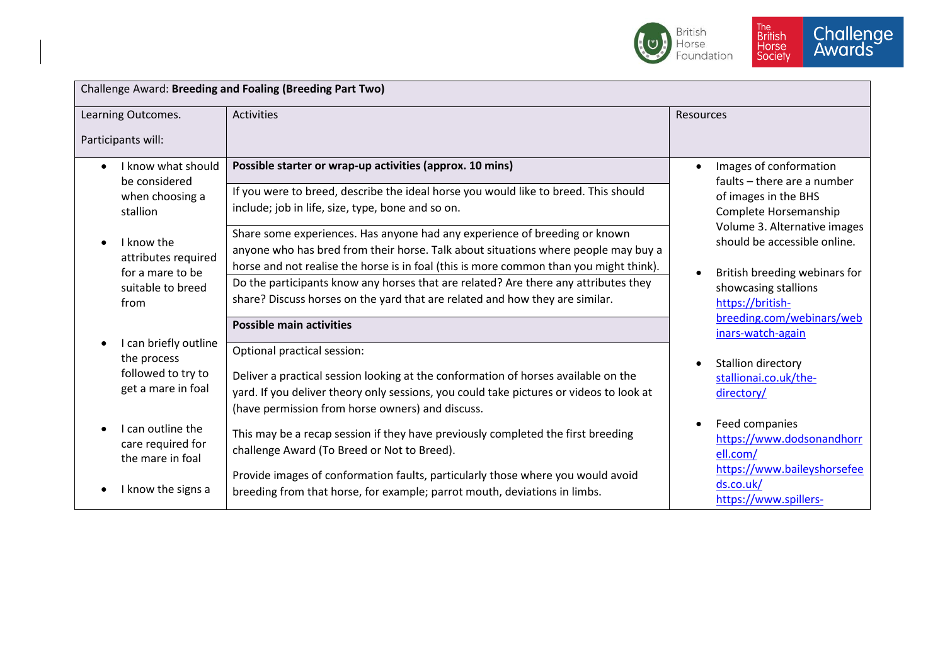

| Challenge Award: Breeding and Foaling (Breeding Part Two)                        |                                                                                                                                                                                                                                                                                                                                                                                        |                                                                                                                                                                        |  |  |
|----------------------------------------------------------------------------------|----------------------------------------------------------------------------------------------------------------------------------------------------------------------------------------------------------------------------------------------------------------------------------------------------------------------------------------------------------------------------------------|------------------------------------------------------------------------------------------------------------------------------------------------------------------------|--|--|
| Learning Outcomes.<br>Participants will:                                         | <b>Activities</b>                                                                                                                                                                                                                                                                                                                                                                      | <b>Resources</b>                                                                                                                                                       |  |  |
| I know what should<br>be considered<br>when choosing a<br>stallion<br>I know the | Possible starter or wrap-up activities (approx. 10 mins)<br>If you were to breed, describe the ideal horse you would like to breed. This should<br>include; job in life, size, type, bone and so on.<br>Share some experiences. Has anyone had any experience of breeding or known                                                                                                     | Images of conformation<br>faults - there are a number<br>of images in the BHS<br>Complete Horsemanship<br>Volume 3. Alternative images<br>should be accessible online. |  |  |
| attributes required<br>for a mare to be<br>suitable to breed<br>from             | anyone who has bred from their horse. Talk about situations where people may buy a<br>horse and not realise the horse is in foal (this is more common than you might think).<br>Do the participants know any horses that are related? Are there any attributes they<br>share? Discuss horses on the yard that are related and how they are similar.<br><b>Possible main activities</b> | British breeding webinars for<br>showcasing stallions<br>https://british-<br>breeding.com/webinars/web<br>inars-watch-again                                            |  |  |
| I can briefly outline<br>the process<br>followed to try to<br>get a mare in foal | Optional practical session:<br>Deliver a practical session looking at the conformation of horses available on the<br>yard. If you deliver theory only sessions, you could take pictures or videos to look at<br>(have permission from horse owners) and discuss.                                                                                                                       | Stallion directory<br>stallionai.co.uk/the-<br>directory/                                                                                                              |  |  |
| I can outline the<br>care required for<br>the mare in foal<br>I know the signs a | This may be a recap session if they have previously completed the first breeding<br>challenge Award (To Breed or Not to Breed).<br>Provide images of conformation faults, particularly those where you would avoid<br>breeding from that horse, for example; parrot mouth, deviations in limbs.                                                                                        | Feed companies<br>https://www.dodsonandhorr<br>ell.com/<br>https://www.baileyshorsefee<br>ds.co.uk/<br>https://www.spillers-                                           |  |  |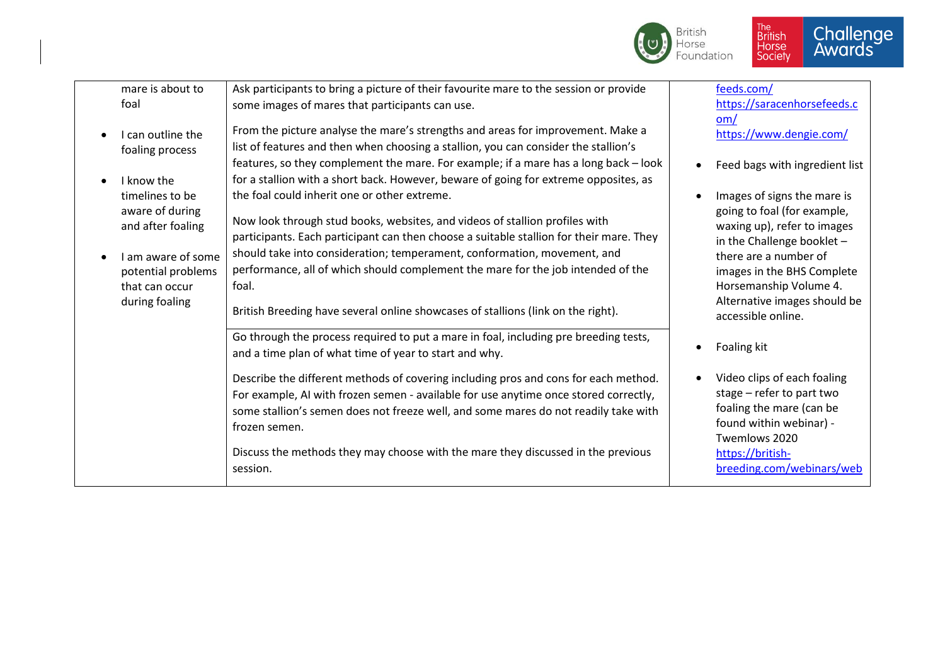

| mare is about to<br>foal                                                                                                                | Ask participants to bring a picture of their favourite mare to the session or provide<br>some images of mares that participants can use.                                                                                                                                                                                                                                                                                                                                            | feeds.com/<br>https://saracenhorsefeeds.c                                                                                                                                                                                                                      |
|-----------------------------------------------------------------------------------------------------------------------------------------|-------------------------------------------------------------------------------------------------------------------------------------------------------------------------------------------------------------------------------------------------------------------------------------------------------------------------------------------------------------------------------------------------------------------------------------------------------------------------------------|----------------------------------------------------------------------------------------------------------------------------------------------------------------------------------------------------------------------------------------------------------------|
| I can outline the<br>foaling process                                                                                                    | From the picture analyse the mare's strengths and areas for improvement. Make a<br>list of features and then when choosing a stallion, you can consider the stallion's                                                                                                                                                                                                                                                                                                              | om/<br>https://www.dengie.com/                                                                                                                                                                                                                                 |
| I know the                                                                                                                              | features, so they complement the mare. For example; if a mare has a long back - look<br>for a stallion with a short back. However, beware of going for extreme opposites, as                                                                                                                                                                                                                                                                                                        | Feed bags with ingredient list                                                                                                                                                                                                                                 |
| timelines to be<br>aware of during<br>and after foaling<br>I am aware of some<br>potential problems<br>that can occur<br>during foaling | the foal could inherit one or other extreme.<br>Now look through stud books, websites, and videos of stallion profiles with<br>participants. Each participant can then choose a suitable stallion for their mare. They<br>should take into consideration; temperament, conformation, movement, and<br>performance, all of which should complement the mare for the job intended of the<br>foal.<br>British Breeding have several online showcases of stallions (link on the right). | Images of signs the mare is<br>going to foal (for example,<br>waxing up), refer to images<br>in the Challenge booklet -<br>there are a number of<br>images in the BHS Complete<br>Horsemanship Volume 4.<br>Alternative images should be<br>accessible online. |
|                                                                                                                                         | Go through the process required to put a mare in foal, including pre breeding tests,<br>and a time plan of what time of year to start and why.                                                                                                                                                                                                                                                                                                                                      | Foaling kit                                                                                                                                                                                                                                                    |
|                                                                                                                                         | Describe the different methods of covering including pros and cons for each method.<br>For example, AI with frozen semen - available for use anytime once stored correctly,<br>some stallion's semen does not freeze well, and some mares do not readily take with<br>frozen semen.<br>Discuss the methods they may choose with the mare they discussed in the previous<br>session.                                                                                                 | Video clips of each foaling<br>stage - refer to part two<br>foaling the mare (can be<br>found within webinar) -<br>Twemlows 2020<br>https://british-<br>breeding.com/webinars/web                                                                              |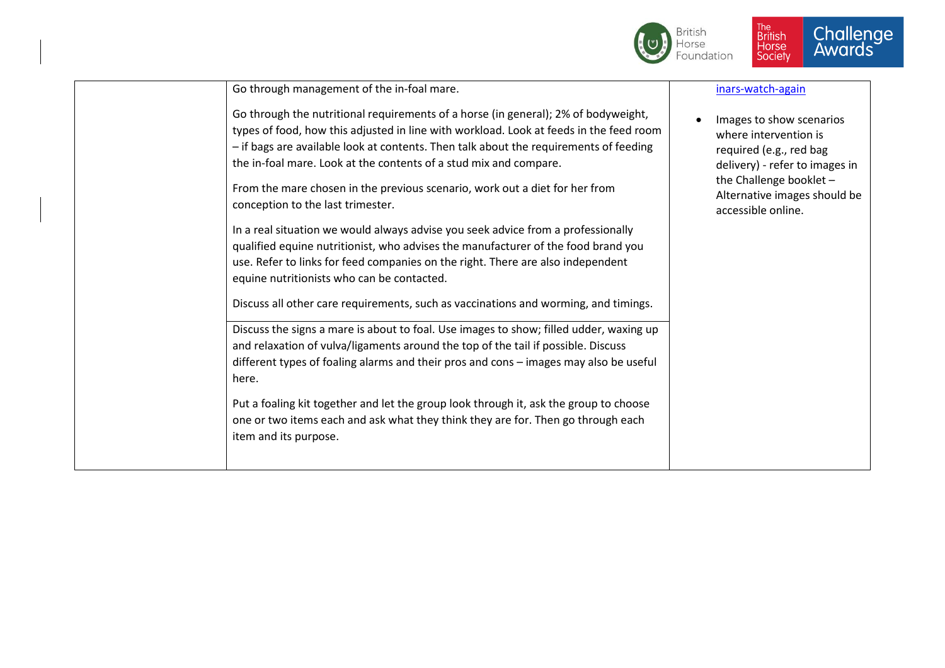

| Go through management of the in-foal mare.                                                                                                                                                                                                                                                                                                                                                                                                                     | inars-watch-again                                                                                                                                                                               |
|----------------------------------------------------------------------------------------------------------------------------------------------------------------------------------------------------------------------------------------------------------------------------------------------------------------------------------------------------------------------------------------------------------------------------------------------------------------|-------------------------------------------------------------------------------------------------------------------------------------------------------------------------------------------------|
| Go through the nutritional requirements of a horse (in general); 2% of bodyweight,<br>types of food, how this adjusted in line with workload. Look at feeds in the feed room<br>- if bags are available look at contents. Then talk about the requirements of feeding<br>the in-foal mare. Look at the contents of a stud mix and compare.<br>From the mare chosen in the previous scenario, work out a diet for her from<br>conception to the last trimester. | Images to show scenarios<br>where intervention is<br>required (e.g., red bag<br>delivery) - refer to images in<br>the Challenge booklet -<br>Alternative images should be<br>accessible online. |
| In a real situation we would always advise you seek advice from a professionally<br>qualified equine nutritionist, who advises the manufacturer of the food brand you<br>use. Refer to links for feed companies on the right. There are also independent<br>equine nutritionists who can be contacted.<br>Discuss all other care requirements, such as vaccinations and worming, and timings.                                                                  |                                                                                                                                                                                                 |
| Discuss the signs a mare is about to foal. Use images to show; filled udder, waxing up<br>and relaxation of vulva/ligaments around the top of the tail if possible. Discuss<br>different types of foaling alarms and their pros and cons - images may also be useful<br>here.                                                                                                                                                                                  |                                                                                                                                                                                                 |
| Put a foaling kit together and let the group look through it, ask the group to choose<br>one or two items each and ask what they think they are for. Then go through each<br>item and its purpose.                                                                                                                                                                                                                                                             |                                                                                                                                                                                                 |
|                                                                                                                                                                                                                                                                                                                                                                                                                                                                |                                                                                                                                                                                                 |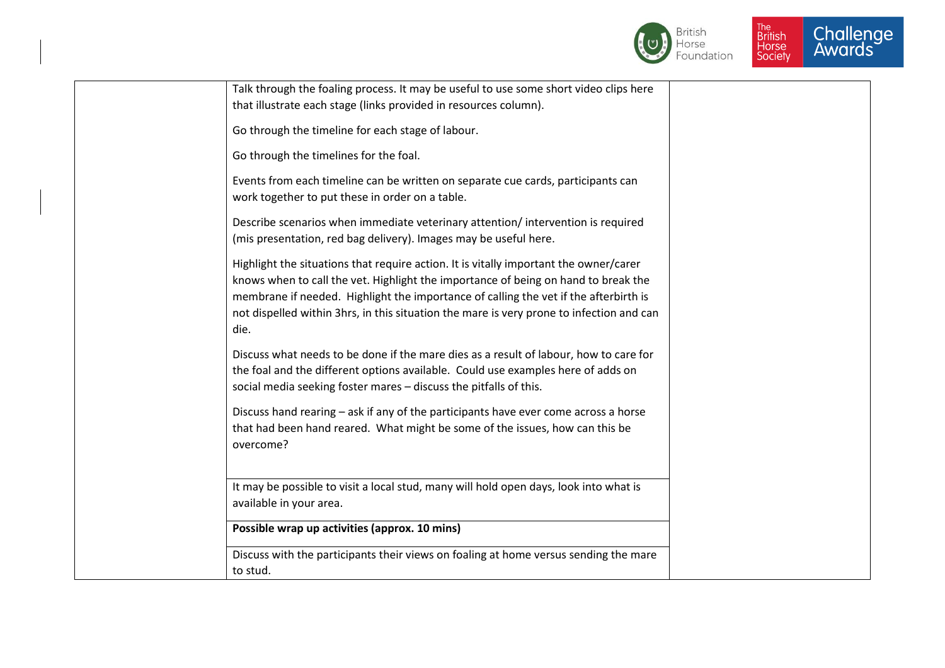



| Talk through the foaling process. It may be useful to use some short video clips here                                                                                                                                                                                                                                                                                   |  |
|-------------------------------------------------------------------------------------------------------------------------------------------------------------------------------------------------------------------------------------------------------------------------------------------------------------------------------------------------------------------------|--|
| that illustrate each stage (links provided in resources column).                                                                                                                                                                                                                                                                                                        |  |
| Go through the timeline for each stage of labour.                                                                                                                                                                                                                                                                                                                       |  |
| Go through the timelines for the foal.                                                                                                                                                                                                                                                                                                                                  |  |
| Events from each timeline can be written on separate cue cards, participants can<br>work together to put these in order on a table.                                                                                                                                                                                                                                     |  |
| Describe scenarios when immediate veterinary attention/intervention is required<br>(mis presentation, red bag delivery). Images may be useful here.                                                                                                                                                                                                                     |  |
| Highlight the situations that require action. It is vitally important the owner/carer<br>knows when to call the vet. Highlight the importance of being on hand to break the<br>membrane if needed. Highlight the importance of calling the vet if the afterbirth is<br>not dispelled within 3hrs, in this situation the mare is very prone to infection and can<br>die. |  |
| Discuss what needs to be done if the mare dies as a result of labour, how to care for<br>the foal and the different options available. Could use examples here of adds on<br>social media seeking foster mares - discuss the pitfalls of this.                                                                                                                          |  |
| Discuss hand rearing - ask if any of the participants have ever come across a horse<br>that had been hand reared. What might be some of the issues, how can this be<br>overcome?                                                                                                                                                                                        |  |
| It may be possible to visit a local stud, many will hold open days, look into what is<br>available in your area.                                                                                                                                                                                                                                                        |  |
| Possible wrap up activities (approx. 10 mins)                                                                                                                                                                                                                                                                                                                           |  |
| Discuss with the participants their views on foaling at home versus sending the mare<br>to stud.                                                                                                                                                                                                                                                                        |  |
|                                                                                                                                                                                                                                                                                                                                                                         |  |